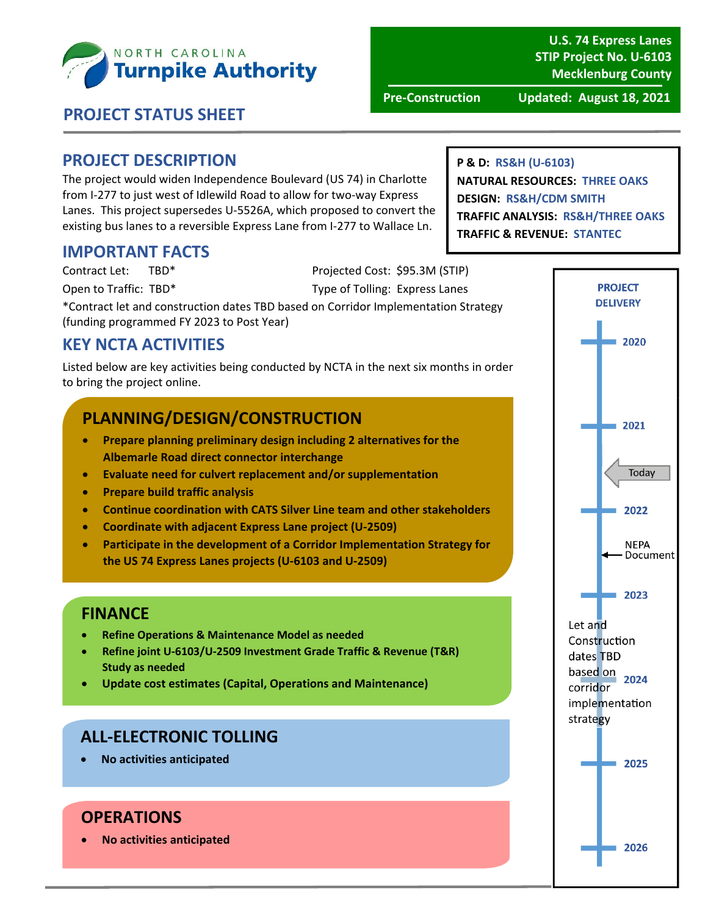

**U.S. 74 Express Lanes STIP Project No. U‐6103 Mecklenburg County**

**Pre‐Construction Updated: August 18, 2021**

## **PROJECT STATUS SHEET**

#### **PROJECT DESCRIPTION**

The project would widen Independence Boulevard (US 74) in Charlotte from I‐277 to just west of Idlewild Road to allow for two‐way Express Lanes. This project supersedes U‐5526A, which proposed to convert the existing bus lanes to a reversible Express Lane from I‐277 to Wallace Ln.

#### **IMPORTANT FACTS**

Contract Let: TBD\* Projected Cost: \$95.3M (STIP)

Open to Traffic: TBD\* Type of Tolling: Express Lanes

\*Contract let and construction dates TBD based on Corridor Implementation Strategy (funding programmed FY 2023 to Post Year)

## **KEY NCTA ACTIVITIES**

Listed below are key activities being conducted by NCTA in the next six months in order to bring the project online.

## **PLANNING/DESIGN/CONSTRUCTION**

- **Prepare planning preliminary design including 2 alternatives for the Albemarle Road direct connector interchange**
- **Evaluate need for culvert replacement and/or supplementation**
- **Prepare build traffic analysis**
- **Continue coordination with CATS Silver Line team and other stakeholders**
- **Coordinate with adjacent Express Lane project (U‐2509)**
- **Participate in the development of a Corridor Implementation Strategy for the US 74 Express Lanes projects (U‐6103 and U‐2509)**

## **FINANCE**

- **Refine Operations & Maintenance Model as needed**
- **Refine joint U‐6103/U‐2509 Investment Grade Traffic & Revenue (T&R) Study as needed**
- **Update cost estimates (Capital, Operations and Maintenance)**

## **ALL‐ELECTRONIC TOLLING**

**No activities anticipated**

## **OPERATIONS**

**No activities anticipated**

**PROJECT DELIVERY** 2020 2021 Today 2022 **NEPA** - Document 2023 Let and Construction dates TBD  $\frac{1}{2024}$ corridor implementation strategy 2025 2026

**P & D: RS&H (U‐6103) NATURAL RESOURCES: THREE OAKS DESIGN: RS&H/CDM SMITH TRAFFIC ANALYSIS: RS&H/THREE OAKS TRAFFIC & REVENUE: STANTEC**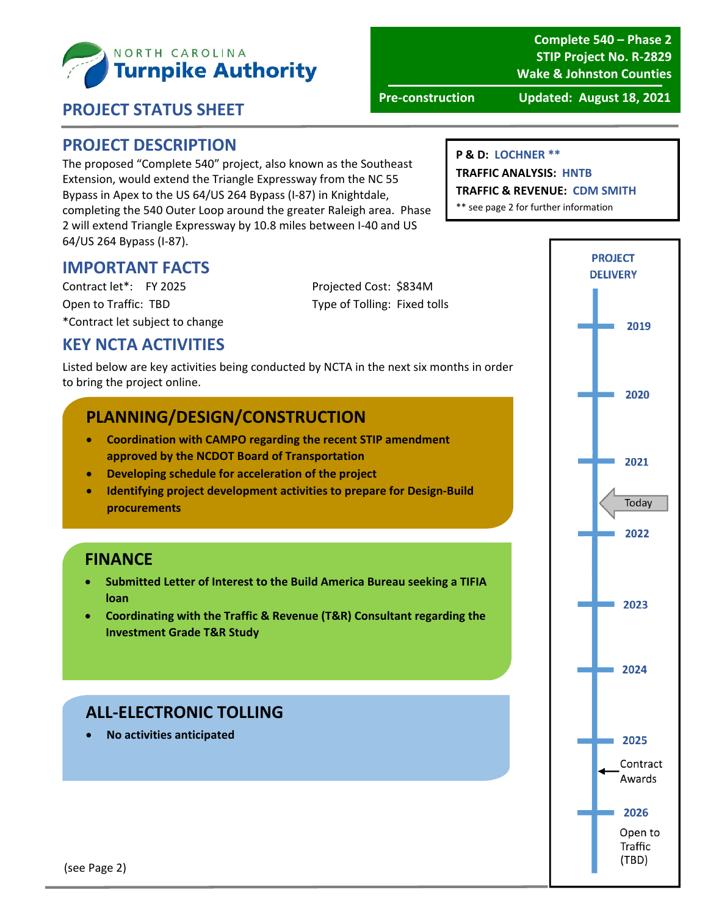

**Complete 540 – Phase 2 STIP Project No. R‐2829 Wake & Johnston Counties**

#### **PROJECT STATUS SHEET**

**Pre‐construction Updated: August 18, 2021**

#### **PROJECT DESCRIPTION**

The proposed "Complete 540" project, also known as the Southeast Extension, would extend the Triangle Expressway from the NC 55 Bypass in Apex to the US 64/US 264 Bypass (I‐87) in Knightdale, completing the 540 Outer Loop around the greater Raleigh area. Phase 2 will extend Triangle Expressway by 10.8 miles between I‐40 and US 64/US 264 Bypass (I‐87).

#### **P & D: LOCHNER \*\***

**TRAFFIC ANALYSIS: HNTB**

**TRAFFIC & REVENUE: CDM SMITH**

\*\* see page 2 for further information

## **IMPORTANT FACTS**

Contract let\*: FY 2025 Projected Cost: \$834M Open to Traffic: TBD Type of Tolling: Fixed tolls \*Contract let subject to change

## **KEY NCTA ACTIVITIES**

Listed below are key activities being conducted by NCTA in the next six months in order to bring the project online.

## **PLANNING/DESIGN/CONSTRUCTION**

- **Coordination with CAMPO regarding the recent STIP amendment approved by the NCDOT Board of Transportation**
- **Developing schedule for acceleration of the project**
- **Identifying project development activities to prepare for Design‐Build procurements**

#### **FINANCE**

- **Submitted Letter of Interest to the Build America Bureau seeking a TIFIA loan**
- **Coordinating with the Traffic & Revenue (T&R) Consultant regarding the Investment Grade T&R Study**

## **ALL‐ELECTRONIC TOLLING**

**No activities anticipated**

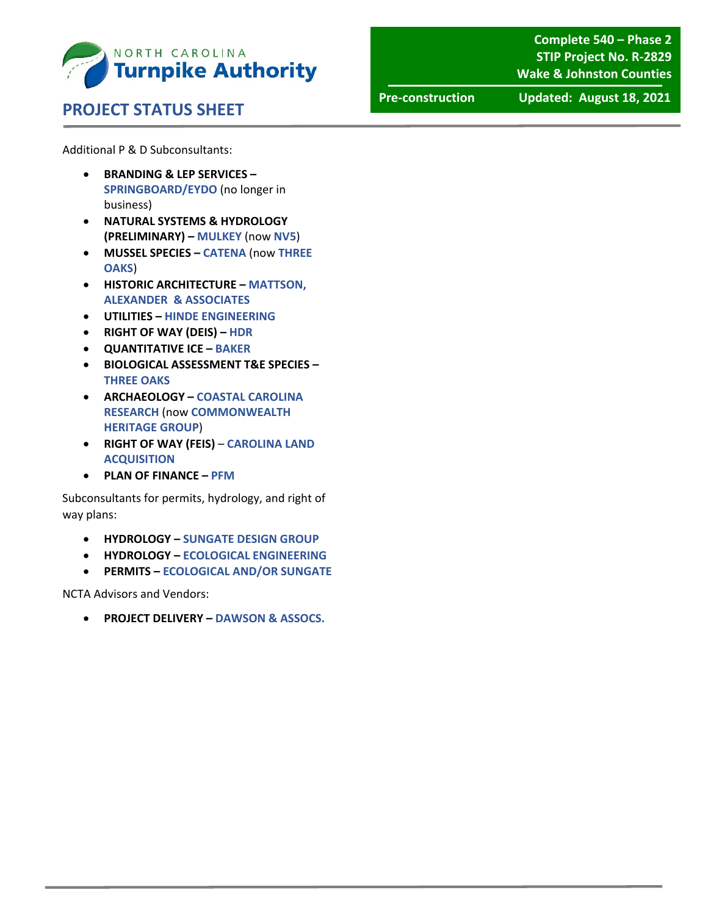

#### **PROJECT STATUS SHEET**

**Complete 540 – Phase 2 STIP Project No. R‐2829 Wake & Johnston Counties**

**Pre‐construction Updated: August 18, 2021**

Additional P & D Subconsultants:

- **BRANDING & LEP SERVICES – SPRINGBOARD/EYDO** (no longer in business)
- **NATURAL SYSTEMS & HYDROLOGY (PRELIMINARY) – MULKEY** (now **NV5**)
- **MUSSEL SPECIES – CATENA** (now **THREE OAKS**)
- **HISTORIC ARCHITECTURE – MATTSON, ALEXANDER & ASSOCIATES**
- **UTILITIES – HINDE ENGINEERING**
- **RIGHT OF WAY (DEIS) – HDR**
- **QUANTITATIVE ICE – BAKER**
- **BIOLOGICAL ASSESSMENT T&E SPECIES – THREE OAKS**
- **ARCHAEOLOGY – COASTAL CAROLINA RESEARCH** (now **COMMONWEALTH HERITAGE GROUP**)
- **RIGHT OF WAY (FEIS) CAROLINA LAND ACQUISITION**
- **PLAN OF FINANCE – PFM**

Subconsultants for permits, hydrology, and right of way plans:

- **HYDROLOGY – SUNGATE DESIGN GROUP**
- **HYDROLOGY – ECOLOGICAL ENGINEERING**
- **PERMITS – ECOLOGICAL AND/OR SUNGATE**

NCTA Advisors and Vendors:

**PROJECT DELIVERY – DAWSON & ASSOCS.**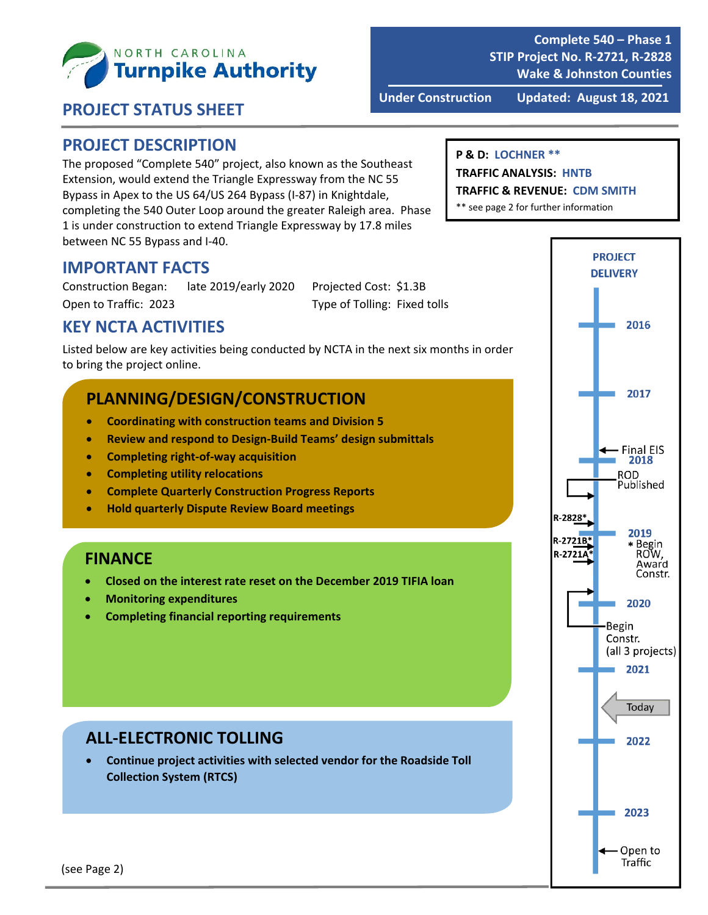

**Complete 540 – Phase 1 STIP Project No. R‐2721, R‐2828 Wake & Johnston Counties**

#### **PROJECT STATUS SHEET**

**Under Construction Updated: August 18, 2021**

#### **PROJECT DESCRIPTION**

The proposed "Complete 540" project, also known as the Southeast Extension, would extend the Triangle Expressway from the NC 55 Bypass in Apex to the US 64/US 264 Bypass (I‐87) in Knightdale, completing the 540 Outer Loop around the greater Raleigh area. Phase 1 is under construction to extend Triangle Expressway by 17.8 miles between NC 55 Bypass and I‐40.

#### **P & D: LOCHNER \*\***

#### **TRAFFIC ANALYSIS: HNTB**

**TRAFFIC & REVENUE: CDM SMITH**

\*\* see page 2 for further information

#### **IMPORTANT FACTS**

Construction Began: late 2019/early 2020 Projected Cost: \$1.3B Open to Traffic: 2023 Type of Tolling: Fixed tolls

## **KEY NCTA ACTIVITIES**

Listed below are key activities being conducted by NCTA in the next six months in order to bring the project online.

## **PLANNING/DESIGN/CONSTRUCTION**

- **Coordinating with construction teams and Division 5**
- **Review and respond to Design‐Build Teams' design submittals**
- **Completing right‐of‐way acquisition**
- **Completing utility relocations**
- **Complete Quarterly Construction Progress Reports**
- **Hold quarterly Dispute Review Board meetings**

#### **FINANCE**

- **Closed on the interest rate reset on the December 2019 TIFIA loan**
- **Monitoring expenditures**
- **Completing financial reporting requirements**

#### **ALL‐ELECTRONIC TOLLING**

 **Continue project activities with selected vendor for the Roadside Toll Collection System (RTCS)**

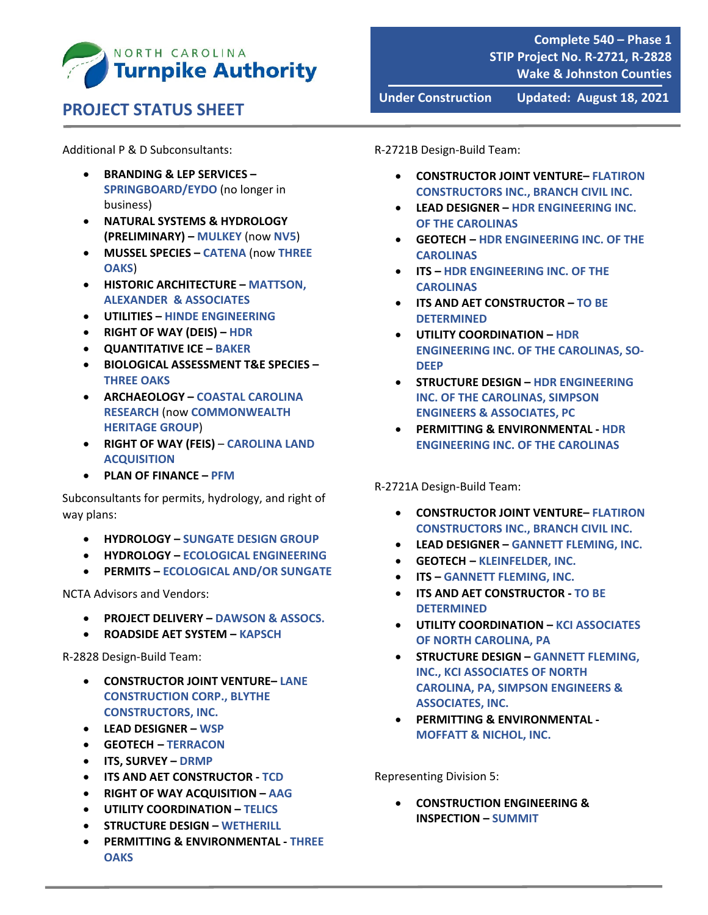

# **PROJECT STATUS SHEET**

Additional P & D Subconsultants:

- **BRANDING & LEP SERVICES – SPRINGBOARD/EYDO** (no longer in business)
- **NATURAL SYSTEMS & HYDROLOGY (PRELIMINARY) – MULKEY** (now **NV5**)
- **MUSSEL SPECIES – CATENA** (now **THREE OAKS**)
- **HISTORIC ARCHITECTURE – MATTSON, ALEXANDER & ASSOCIATES**
- **UTILITIES – HINDE ENGINEERING**
- **RIGHT OF WAY (DEIS) – HDR**
- **QUANTITATIVE ICE – BAKER**
- **BIOLOGICAL ASSESSMENT T&E SPECIES – THREE OAKS**
- **ARCHAEOLOGY – COASTAL CAROLINA RESEARCH** (now **COMMONWEALTH HERITAGE GROUP**)
- **RIGHT OF WAY (FEIS) CAROLINA LAND ACQUISITION**
- **PLAN OF FINANCE – PFM**

Subconsultants for permits, hydrology, and right of way plans:

- **HYDROLOGY – SUNGATE DESIGN GROUP**
- **HYDROLOGY – ECOLOGICAL ENGINEERING**
- **PERMITS – ECOLOGICAL AND/OR SUNGATE**

NCTA Advisors and Vendors:

- **PROJECT DELIVERY – DAWSON & ASSOCS.**
- **ROADSIDE AET SYSTEM – KAPSCH**

R‐2828 Design‐Build Team:

- **CONSTRUCTOR JOINT VENTURE– LANE CONSTRUCTION CORP., BLYTHE CONSTRUCTORS, INC.**
- **LEAD DESIGNER – WSP**
- **GEOTECH – TERRACON**
- **ITS, SURVEY – DRMP**
- **ITS AND AET CONSTRUCTOR ‐ TCD**
- **RIGHT OF WAY ACQUISITION – AAG**
- **UTILITY COORDINATION – TELICS**
- **STRUCTURE DESIGN – WETHERILL**
- **PERMITTING & ENVIRONMENTAL ‐ THREE OAKS**

R‐2721B Design‐Build Team:

 **CONSTRUCTOR JOINT VENTURE– FLATIRON CONSTRUCTORS INC., BRANCH CIVIL INC.**

**Under Construction Updated: August 18, 2021**

- **LEAD DESIGNER – HDR ENGINEERING INC. OF THE CAROLINAS**
- **GEOTECH – HDR ENGINEERING INC. OF THE CAROLINAS**
- **ITS – HDR ENGINEERING INC. OF THE CAROLINAS**
- **ITS AND AET CONSTRUCTOR – TO BE DETERMINED**
- **UTILITY COORDINATION – HDR ENGINEERING INC. OF THE CAROLINAS, SO‐ DEEP**
- **STRUCTURE DESIGN – HDR ENGINEERING INC. OF THE CAROLINAS, SIMPSON ENGINEERS & ASSOCIATES, PC**
- **PERMITTING & ENVIRONMENTAL ‐ HDR ENGINEERING INC. OF THE CAROLINAS**

R‐2721A Design‐Build Team:

- **CONSTRUCTOR JOINT VENTURE– FLATIRON CONSTRUCTORS INC., BRANCH CIVIL INC.**
- **LEAD DESIGNER – GANNETT FLEMING, INC.**
- **GEOTECH – KLEINFELDER, INC.**
- **ITS – GANNETT FLEMING, INC.**
- **ITS AND AET CONSTRUCTOR ‐ TO BE DETERMINED**
- **UTILITY COORDINATION – KCI ASSOCIATES OF NORTH CAROLINA, PA**
- **STRUCTURE DESIGN – GANNETT FLEMING, INC., KCI ASSOCIATES OF NORTH CAROLINA, PA, SIMPSON ENGINEERS & ASSOCIATES, INC.**
- **PERMITTING & ENVIRONMENTAL ‐ MOFFATT & NICHOL, INC.**

Representing Division 5:

 **CONSTRUCTION ENGINEERING & INSPECTION – SUMMIT**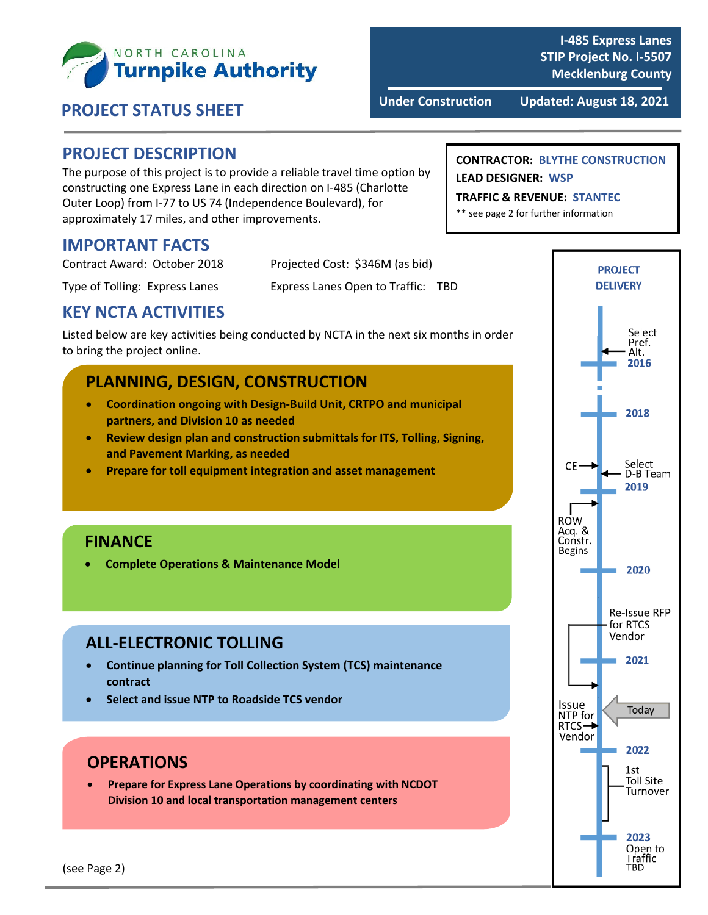

**I‐485 Express Lanes STIP Project No. I‐5507 Mecklenburg County**

#### **PROJECT DESCRIPTION**

The purpose of this project is to provide a reliable travel time option by constructing one Express Lane in each direction on I‐485 (Charlotte Outer Loop) from I‐77 to US 74 (Independence Boulevard), for approximately 17 miles, and other improvements.

#### **IMPORTANT FACTS**

| Contract Award: October 2018   | Projected Cost: \$346M (as bid)    |
|--------------------------------|------------------------------------|
| Type of Tolling: Express Lanes | Express Lanes Open to Traffic: TBD |

## **KEY NCTA ACTIVITIES**

Listed below are key activities being conducted by NCTA in the next six months in order to bring the project online.

## **PLANNING, DESIGN, CONSTRUCTION**

- **Coordination ongoing with Design‐Build Unit, CRTPO and municipal partners, and Division 10 as needed**
- **Review design plan and construction submittals for ITS, Tolling, Signing, and Pavement Marking, as needed**
- **Prepare for toll equipment integration and asset management**

## **FINANCE**

**Complete Operations & Maintenance Model**

## **ALL‐ELECTRONIC TOLLING**

- **Continue planning for Toll Collection System (TCS) maintenance contract**
- **Select and issue NTP to Roadside TCS vendor**

## **OPERATIONS**

 **Prepare for Express Lane Operations by coordinating with NCDOT Division 10 and local transportation management centers**

#### **CONTRACTOR: BLYTHE CONSTRUCTION LEAD DESIGNER: WSP**

#### **TRAFFIC & REVENUE: STANTEC**

\*\* see page 2 for further information



(see Page 2)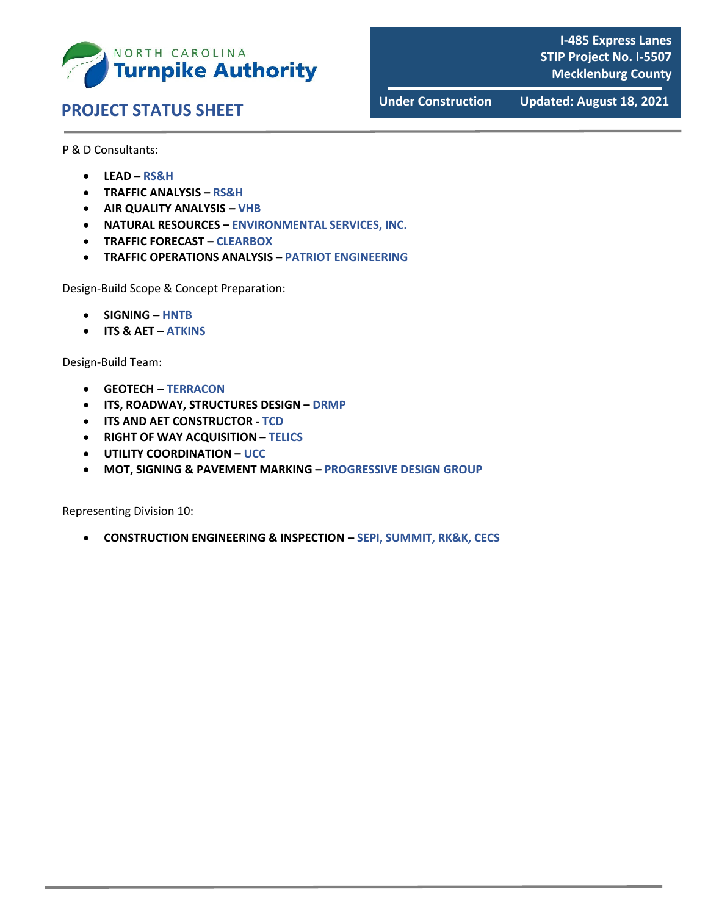

# **Under Construction Updated: August 18, <sup>2021</sup> PROJECT STATUS SHEET**

**I‐485 Express Lanes STIP Project No. I‐5507 Mecklenburg County**

P & D Consultants:

- **LEAD – RS&H**
- **TRAFFIC ANALYSIS – RS&H**
- **AIR QUALITY ANALYSIS – VHB**
- **NATURAL RESOURCES – ENVIRONMENTAL SERVICES, INC.**
- **TRAFFIC FORECAST – CLEARBOX**
- **TRAFFIC OPERATIONS ANALYSIS – PATRIOT ENGINEERING**

Design‐Build Scope & Concept Preparation:

- **SIGNING – HNTB**
- **ITS & AET – ATKINS**

Design‐Build Team:

- **GEOTECH – TERRACON**
- **ITS, ROADWAY, STRUCTURES DESIGN – DRMP**
- **ITS AND AET CONSTRUCTOR ‐ TCD**
- **RIGHT OF WAY ACQUISITION – TELICS**
- **UTILITY COORDINATION – UCC**
- **MOT, SIGNING & PAVEMENT MARKING – PROGRESSIVE DESIGN GROUP**

Representing Division 10:

**CONSTRUCTION ENGINEERING & INSPECTION – SEPI, SUMMIT, RK&K, CECS**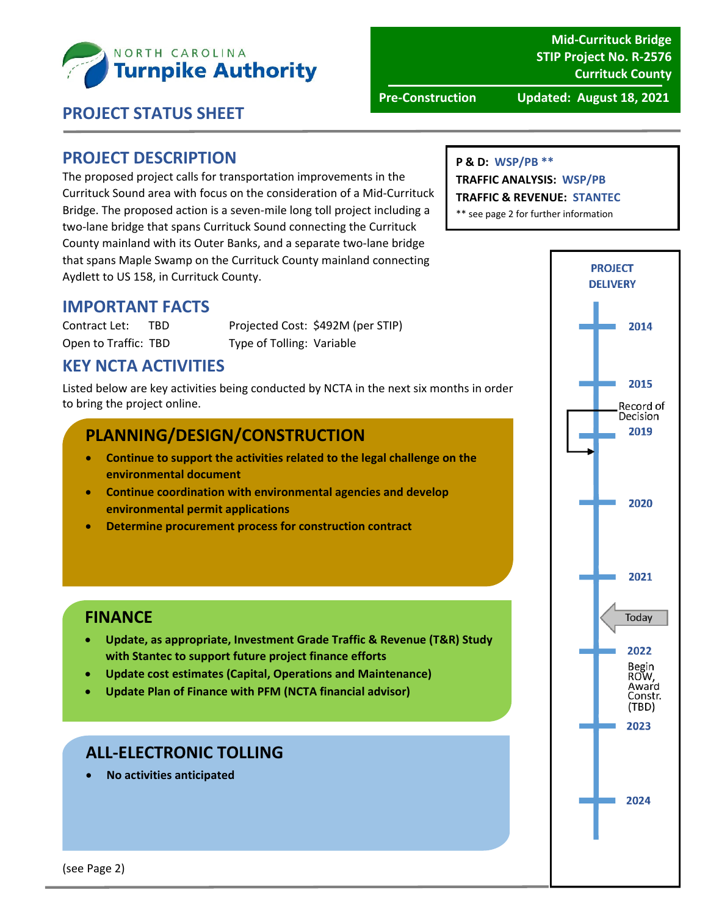

**Mid‐Currituck Bridge STIP Project No. R‐2576 Currituck County**

**Pre‐Construction Updated: August 18, 2021**

## **PROJECT STATUS SHEET**

## 

#### **PROJECT DESCRIPTION**

The proposed project calls for transportation improvements in the Currituck Sound area with focus on the consideration of a Mid‐Currituck Bridge. The proposed action is a seven‐mile long toll project including a two‐lane bridge that spans Currituck Sound connecting the Currituck County mainland with its Outer Banks, and a separate two‐lane bridge that spans Maple Swamp on the Currituck County mainland connecting Aydlett to US 158, in Currituck County.

#### **IMPORTANT FACTS**

Contract Let: TBD Projected Cost: \$492M (per STIP) Open to Traffic: TBD Type of Tolling: Variable

## **KEY NCTA ACTIVITIES**

Listed below are key activities being conducted by NCTA in the next six months in order to bring the project online.

## **PLANNING/DESIGN/CONSTRUCTION**

- **Continue to support the activities related to the legal challenge on the environmental document**
- **Continue coordination with environmental agencies and develop environmental permit applications**
- **Determine procurement process for construction contract**

#### **FINANCE**

- **Update, as appropriate, Investment Grade Traffic & Revenue (T&R) Study with Stantec to support future project finance efforts**
- **Update cost estimates (Capital, Operations and Maintenance)**
- **Update Plan of Finance with PFM (NCTA financial advisor)**

#### **ALL‐ELECTRONIC TOLLING**

**No activities anticipated**

#### **P & D: WSP/PB \*\***

**TRAFFIC ANALYSIS: WSP/PB**

#### **TRAFFIC & REVENUE: STANTEC**

\*\* see page 2 for further information

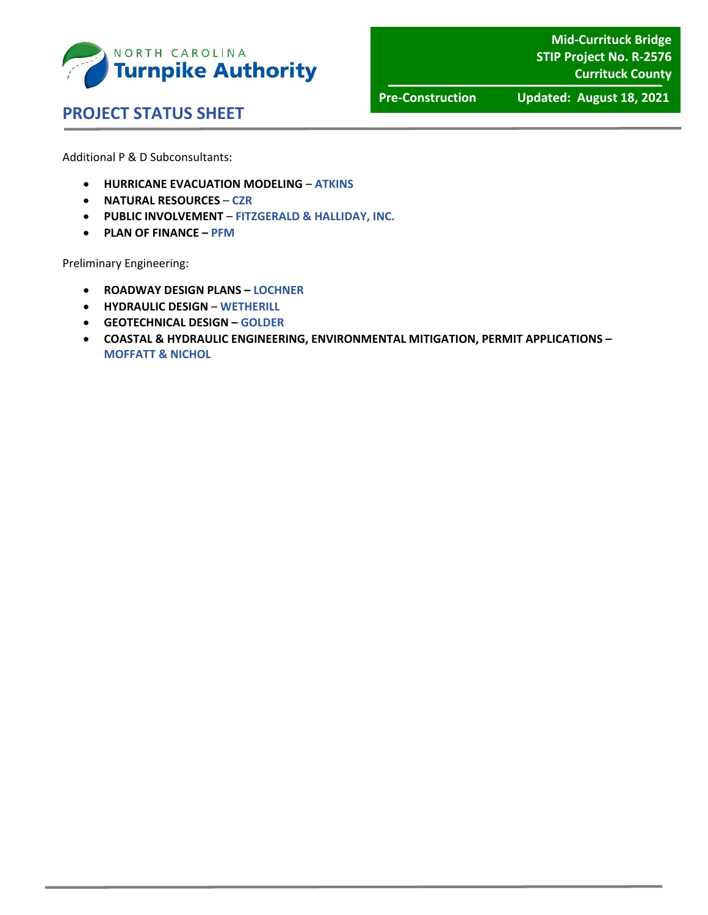

**Mid‐Currituck Bridge STIP Project No. R‐2576 Currituck County**

 **PROJECT STATUS SHEET** 

**Pre‐Construction Updated: August 18, 2021**

Additional P & D Subconsultants:

- **HURRICANE EVACUATION MODELING ATKINS**
- **NATURAL RESOURCES CZR**
- **PUBLIC INVOLVEMENT FITZGERALD & HALLIDAY, INC.**
- **PLAN OF FINANCE – PFM**

Preliminary Engineering:

- **ROADWAY DESIGN PLANS – LOCHNER**
- **HYDRAULIC DESIGN WETHERILL**
- **GEOTECHNICAL DESIGN – GOLDER**
- **COASTAL & HYDRAULIC ENGINEERING, ENVIRONMENTAL MITIGATION, PERMIT APPLICATIONS – MOFFATT & NICHOL**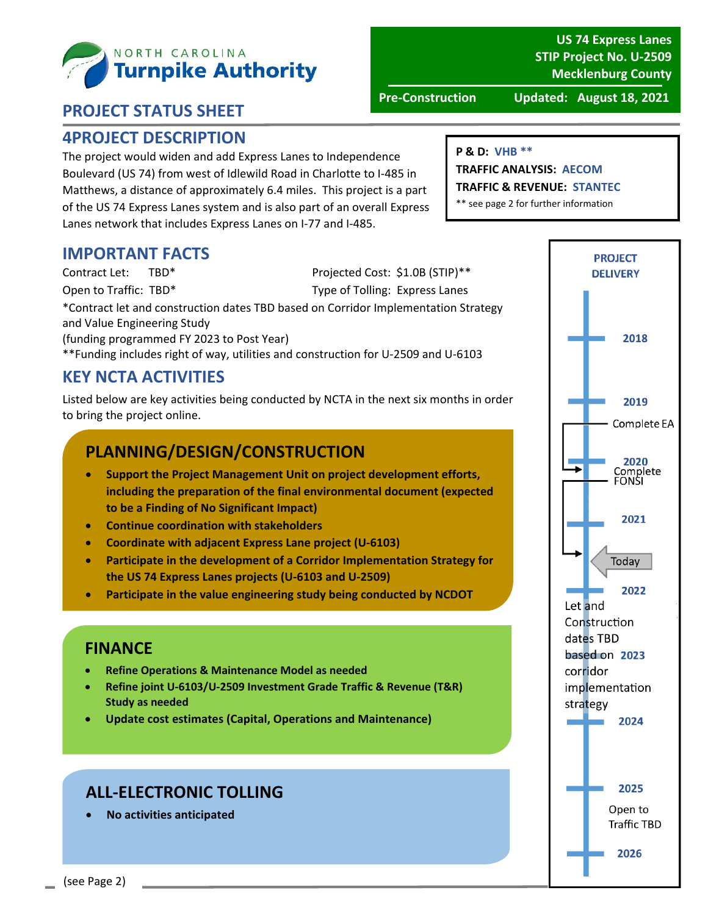

# **PROJECT STATUS SHEET**

#### **4PROJECT DESCRIPTION**

The project would widen and add Express Lanes to Independence Boulevard (US 74) from west of Idlewild Road in Charlotte to I‐485 in Matthews, a distance of approximately 6.4 miles. This project is a part of the US 74 Express Lanes system and is also part of an overall Express Lanes network that includes Express Lanes on I‐77 and I‐485.

#### **IMPORTANT FACTS**

Contract Let: TBD\* Projected Cost: \$1.0B (STIP)\*\* Open to Traffic: TBD\* Type of Tolling: Express Lanes \*Contract let and construction dates TBD based on Corridor Implementation Strategy and Value Engineering Study (funding programmed FY 2023 to Post Year) \*\*Funding includes right of way, utilities and construction for U‐2509 and U‐6103

## **KEY NCTA ACTIVITIES**

Listed below are key activities being conducted by NCTA in the next six months in order to bring the project online.

## **PLANNING/DESIGN/CONSTRUCTION**

- **Support the Project Management Unit on project development efforts, including the preparation of the final environmental document (expected to be a Finding of No Significant Impact)**
- **Continue coordination with stakeholders**
- **Coordinate with adjacent Express Lane project (U‐6103)**
- **Participate in the development of a Corridor Implementation Strategy for the US 74 Express Lanes projects (U‐6103 and U‐2509)**
- **Participate in the value engineering study being conducted by NCDOT**

#### **FINANCE**

- **Refine Operations & Maintenance Model as needed**
- **Refine joint U‐6103/U‐2509 Investment Grade Traffic & Revenue (T&R) Study as needed**
- **Update cost estimates (Capital, Operations and Maintenance)**

## **ALL‐ELECTRONIC TOLLING**

**No activities anticipated**

#### **US 74 Express Lanes STIP Project No. U‐2509 Mecklenburg County**

**Pre‐Construction Updated: August 18, 2021**

#### **P & D: VHB \*\***

**TRAFFIC ANALYSIS: AECOM TRAFFIC & REVENUE: STANTEC**

\*\* see page 2 for further information